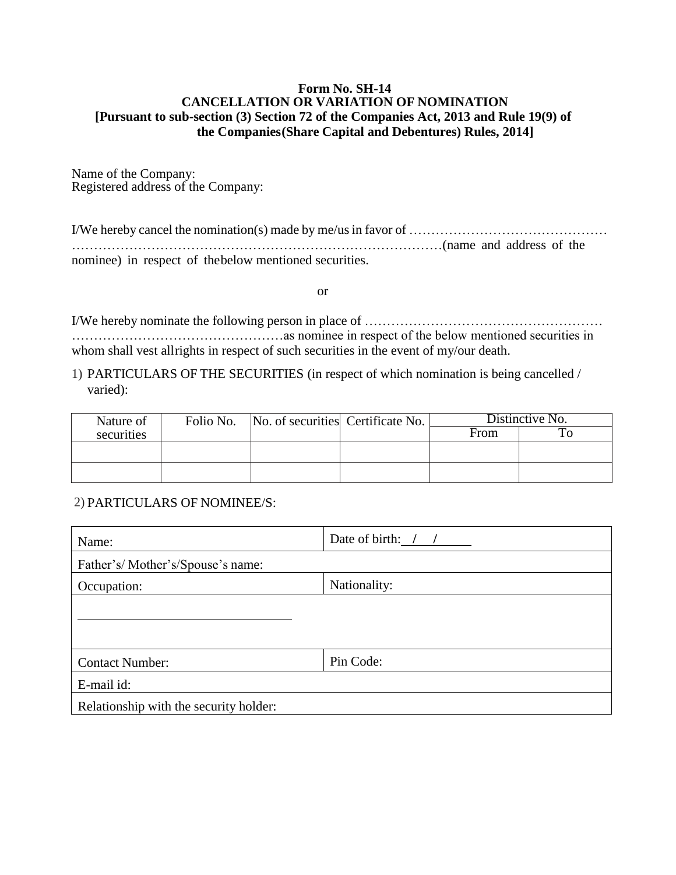## **Form No. SH-14 CANCELLATION OR VARIATION OF NOMINATION [Pursuant to sub-section (3) Section 72 of the Companies Act, 2013 and Rule 19(9) of the Companies(Share Capital and Debentures) Rules, 2014]**

Name of the Company: Registered address of the Company:

I/We hereby cancel the nomination(s) made by me/usin favor of ……………………………………… …………………………………………………………………………(name and address of the nominee) in respect of thebelow mentioned securities.

or

I/We hereby nominate the following person in place of ……………………………………………… …………………………………………as nominee in respect of the below mentioned securities in whom shall vest allrights in respect of such securities in the event of my/our death.

## 1) PARTICULARS OF THE SECURITIES (in respect of which nomination is being cancelled / varied):

| Nature of  | Folio No. | No. of securities Certificate No. | Distinctive No. |  |
|------------|-----------|-----------------------------------|-----------------|--|
| securities |           |                                   | From            |  |
|            |           |                                   |                 |  |
|            |           |                                   |                 |  |
|            |           |                                   |                 |  |

2) PARTICULARS OF NOMINEE/S:

| Name:                                  | Date of birth: $\frac{1}{1}$ |  |  |  |
|----------------------------------------|------------------------------|--|--|--|
| Father's/Mother's/Spouse's name:       |                              |  |  |  |
| Occupation:                            | Nationality:                 |  |  |  |
|                                        |                              |  |  |  |
|                                        |                              |  |  |  |
|                                        |                              |  |  |  |
| <b>Contact Number:</b>                 | Pin Code:                    |  |  |  |
| E-mail id:                             |                              |  |  |  |
| Relationship with the security holder: |                              |  |  |  |